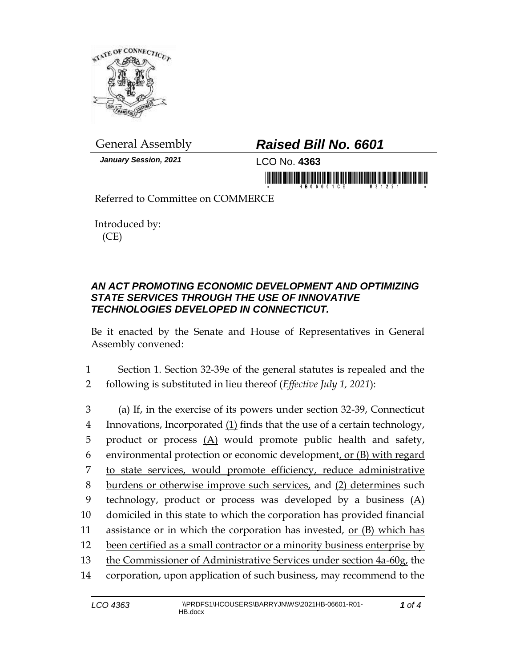

*January Session, 2021* LCO No. **4363**

## General Assembly *Raised Bill No. 6601*

in morning frisk in his film monitorial in in mornin

Referred to Committee on COMMERCE

Introduced by: (CE)

## *AN ACT PROMOTING ECONOMIC DEVELOPMENT AND OPTIMIZING STATE SERVICES THROUGH THE USE OF INNOVATIVE TECHNOLOGIES DEVELOPED IN CONNECTICUT.*

Be it enacted by the Senate and House of Representatives in General Assembly convened:

1 Section 1. Section 32-39e of the general statutes is repealed and the 2 following is substituted in lieu thereof (*Effective July 1, 2021*):

 (a) If, in the exercise of its powers under section 32-39, Connecticut Innovations, Incorporated (1) finds that the use of a certain technology, 5 product or process  $(A)$  would promote public health and safety, environmental protection or economic development, or (B) with regard to state services, would promote efficiency, reduce administrative 8 burdens or otherwise improve such services, and (2) determines such technology, product or process was developed by a business (A) domiciled in this state to which the corporation has provided financial 11 assistance or in which the corporation has invested, or  $(B)$  which has 12 been certified as a small contractor or a minority business enterprise by the Commissioner of Administrative Services under section 4a-60g, the corporation, upon application of such business, may recommend to the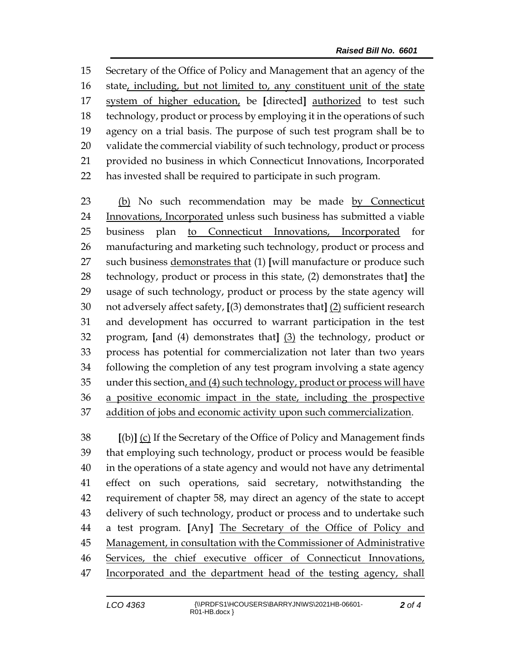Secretary of the Office of Policy and Management that an agency of the state, including, but not limited to, any constituent unit of the state system of higher education, be **[**directed**]** authorized to test such technology, product or process by employing it in the operations of such agency on a trial basis. The purpose of such test program shall be to validate the commercial viability of such technology, product or process provided no business in which Connecticut Innovations, Incorporated has invested shall be required to participate in such program.

 (b) No such recommendation may be made by Connecticut Innovations, Incorporated unless such business has submitted a viable business plan to Connecticut Innovations, Incorporated for manufacturing and marketing such technology, product or process and such business demonstrates that (1) **[**will manufacture or produce such technology, product or process in this state, (2) demonstrates that**]** the usage of such technology, product or process by the state agency will not adversely affect safety, **[**(3) demonstrates that**]** (2) sufficient research and development has occurred to warrant participation in the test program, **[**and (4) demonstrates that**]** (3) the technology, product or process has potential for commercialization not later than two years following the completion of any test program involving a state agency under this section, and (4) such technology, product or process will have a positive economic impact in the state, including the prospective addition of jobs and economic activity upon such commercialization.

 **[**(b)**]** (c) If the Secretary of the Office of Policy and Management finds that employing such technology, product or process would be feasible in the operations of a state agency and would not have any detrimental effect on such operations, said secretary, notwithstanding the requirement of chapter 58, may direct an agency of the state to accept delivery of such technology, product or process and to undertake such a test program. **[**Any**]** The Secretary of the Office of Policy and Management, in consultation with the Commissioner of Administrative Services, the chief executive officer of Connecticut Innovations, Incorporated and the department head of the testing agency, shall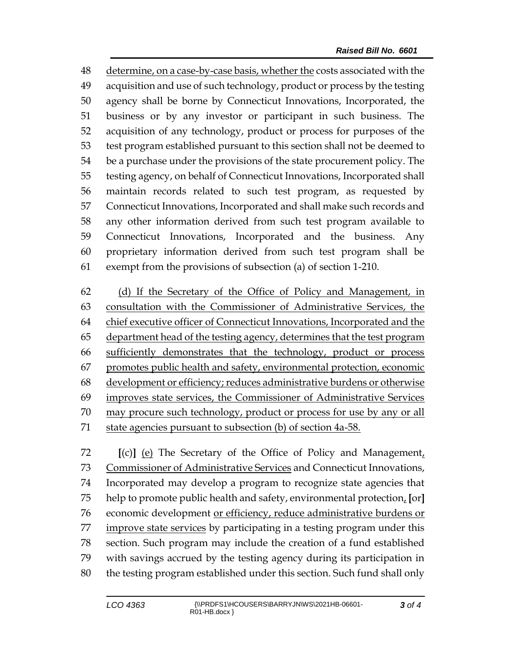determine, on a case-by-case basis, whether the costs associated with the acquisition and use of such technology, product or process by the testing agency shall be borne by Connecticut Innovations, Incorporated, the business or by any investor or participant in such business. The acquisition of any technology, product or process for purposes of the test program established pursuant to this section shall not be deemed to be a purchase under the provisions of the state procurement policy. The testing agency, on behalf of Connecticut Innovations, Incorporated shall maintain records related to such test program, as requested by Connecticut Innovations, Incorporated and shall make such records and any other information derived from such test program available to Connecticut Innovations, Incorporated and the business. Any proprietary information derived from such test program shall be exempt from the provisions of subsection (a) of section 1-210.

 (d) If the Secretary of the Office of Policy and Management, in consultation with the Commissioner of Administrative Services, the 64 chief executive officer of Connecticut Innovations, Incorporated and the 65 department head of the testing agency, determines that the test program sufficiently demonstrates that the technology, product or process promotes public health and safety, environmental protection, economic development or efficiency; reduces administrative burdens or otherwise improves state services, the Commissioner of Administrative Services may procure such technology, product or process for use by any or all state agencies pursuant to subsection (b) of section 4a-58.

 **[**(c)**]** (e) The Secretary of the Office of Policy and Management, Commissioner of Administrative Services and Connecticut Innovations, Incorporated may develop a program to recognize state agencies that help to promote public health and safety, environmental protection, **[**or**]** economic development or efficiency, reduce administrative burdens or improve state services by participating in a testing program under this section. Such program may include the creation of a fund established with savings accrued by the testing agency during its participation in the testing program established under this section. Such fund shall only